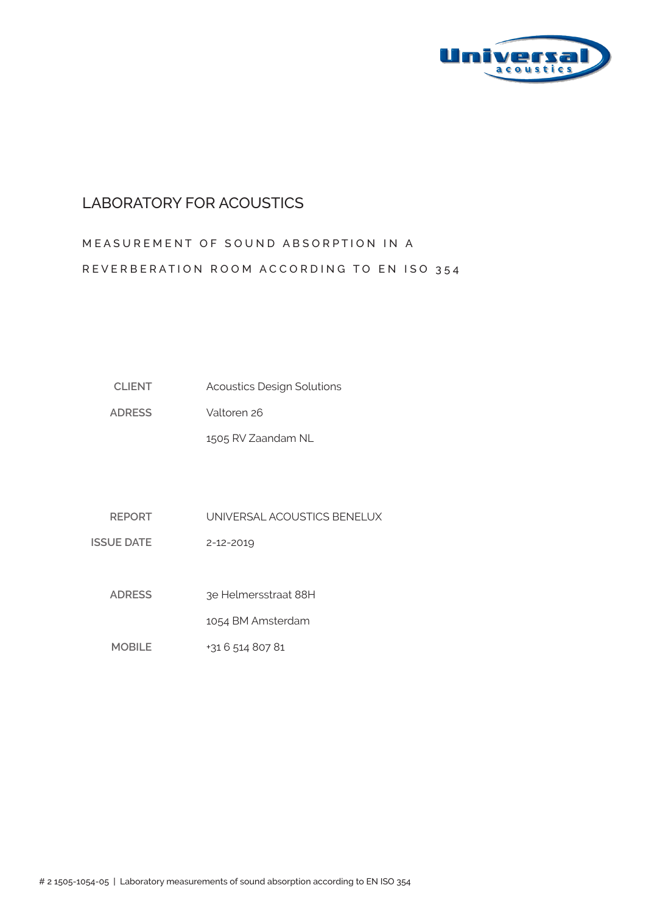

#### LABORATORY FOR ACOUSTICS

# MEASUREMENT OF SOUND ABSORPTION IN A REVERBERATION ROOM ACCORDING TO EN ISO 354

| <b>CLIENT</b> | <b>Acoustics Design Solutions</b> |
|---------------|-----------------------------------|
|---------------|-----------------------------------|

**ADRESS** Valtoren 26

1505 RV Zaandam NL

**REPORT** UNIVERSAL ACOUSTICS BENELUX

**ISSUE DATE** 2-12-2019

> **ADRESS**  3e Helmersstraat 88H

> > 1054 BM Amsterdam

**MOBILE** +31 6 514 807 81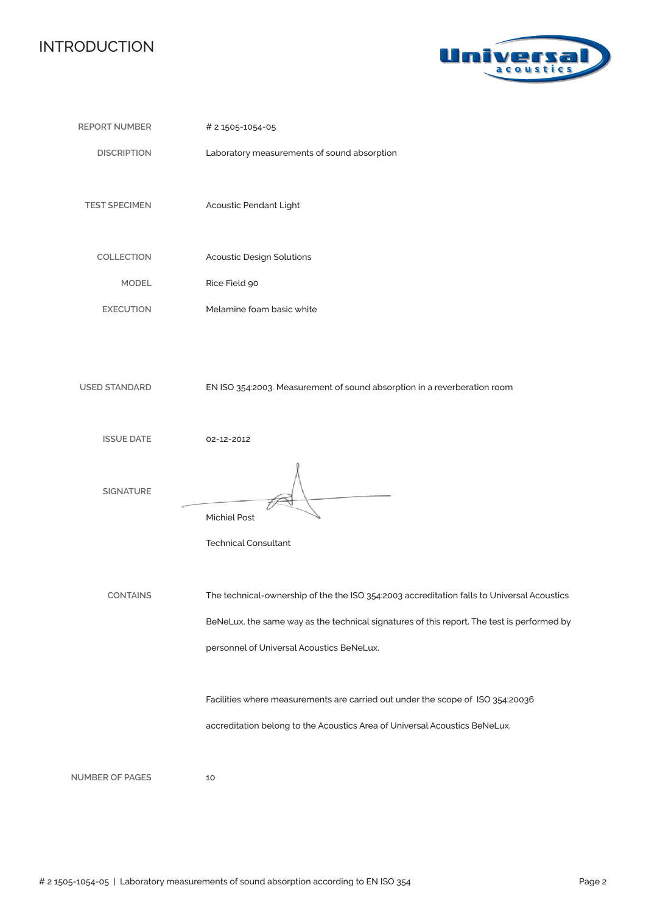## INTRODUCTION



| <b>REPORT NUMBER</b>   | # 2 1505-1054-05                                                                                                                                                                                                                      |
|------------------------|---------------------------------------------------------------------------------------------------------------------------------------------------------------------------------------------------------------------------------------|
| <b>DISCRIPTION</b>     | Laboratory measurements of sound absorption                                                                                                                                                                                           |
| <b>TEST SPECIMEN</b>   | Acoustic Pendant Light                                                                                                                                                                                                                |
| COLLECTION             | <b>Acoustic Design Solutions</b>                                                                                                                                                                                                      |
| <b>MODEL</b>           | Rice Field 90                                                                                                                                                                                                                         |
| <b>EXECUTION</b>       | Melamine foam basic white                                                                                                                                                                                                             |
| <b>USED STANDARD</b>   | EN ISO 354:2003. Measurement of sound absorption in a reverberation room                                                                                                                                                              |
| <b>ISSUE DATE</b>      | 02-12-2012                                                                                                                                                                                                                            |
| <b>SIGNATURE</b>       | <b>Michiel Post</b><br><b>Technical Consultant</b>                                                                                                                                                                                    |
| <b>CONTAINS</b>        | The technical-ownership of the the ISO 354:2003 accreditation falls to Universal Acoustics<br>BeNeLux, the same way as the technical signatures of this report. The test is performed by<br>personnel of Universal Acoustics BeNeLux. |
|                        | Facilities where measurements are carried out under the scope of ISO 354:20036<br>accreditation belong to the Acoustics Area of Universal Acoustics BeNeLux.                                                                          |
| <b>NUMBER OF PAGES</b> | 10                                                                                                                                                                                                                                    |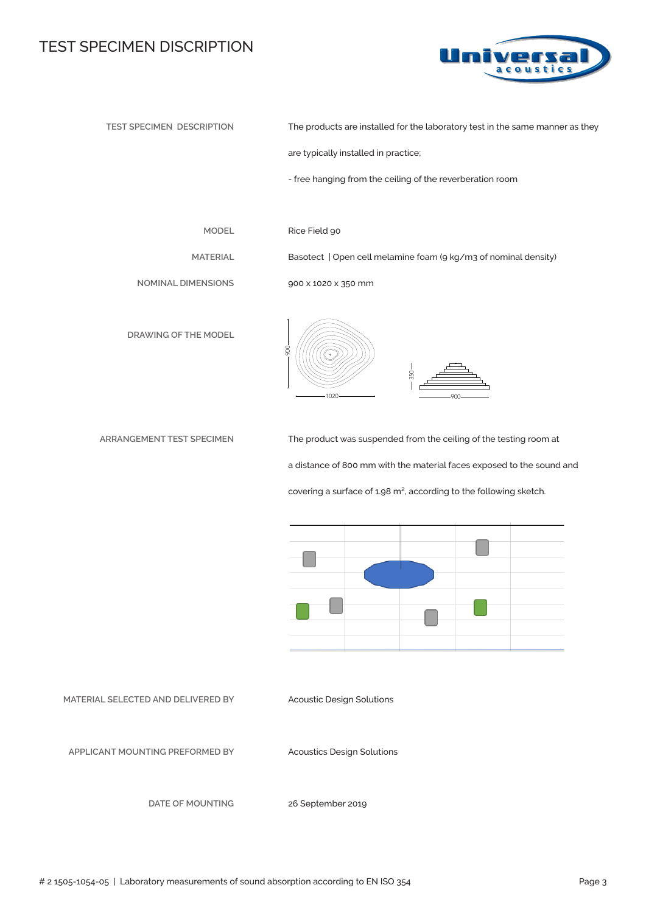#### TEST SPECIMEN DISCRIPTION



**TEST SPECIMEN DESCRIPTION**

The products are installed for the laboratory test in the same manner as they

are typically installed in practice;

- free hanging from the ceiling of the reverberation room

**MODEL**

**MATERIAL**

Rice Field 90

Basotect | Open cell melamine foam (9 kg/m3 of nominal density)

350

**NOMINAL DIMENSIONS**

**DRAWING OF THE MODEL**



900 x 1020 x 350 mm



**ARRANGEMENT TEST SPECIMEN** 

The product was suspended from the ceiling of the testing room at a distance of 800 mm with the material faces exposed to the sound and covering a surface of 1.98 m<sup>2</sup>, according to the following sketch.



**MATERIAL SELECTED AND DELIVERED BY**

Acoustic Design Solutions

**APPLICANT MOUNTING PREFORMED BY** 

Acoustics Design Solutions

**DATE OF MOUNTING**

26 September 2019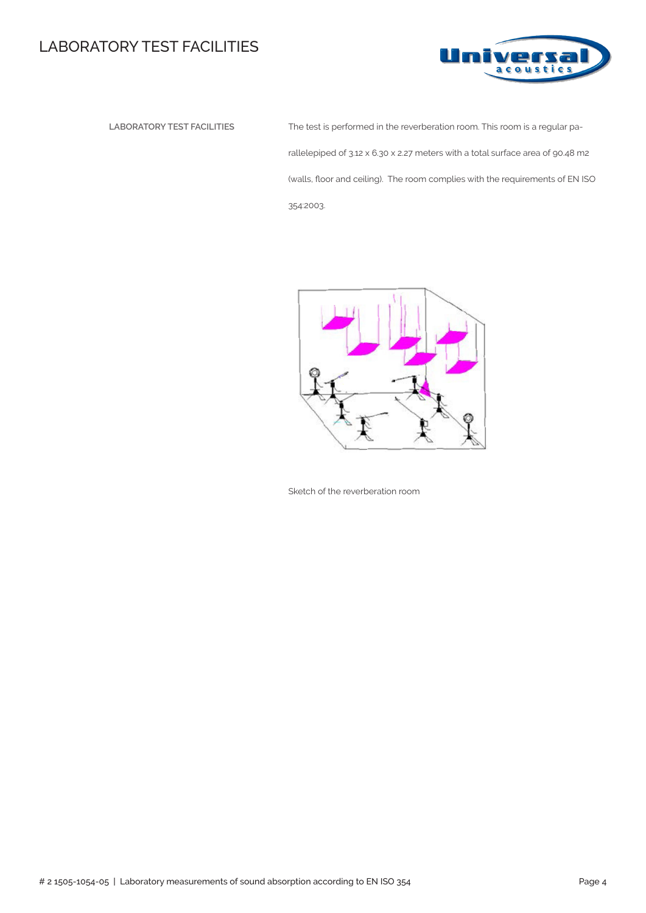## LABORATORY TEST FACILITIES



 **LABORATORY TEST FACILITIES** The test is performed in the reverberation room. This room is a regular parallelepiped of 3.12 x 6.30 x 2.27 meters with a total surface area of 90.48 m2 (walls, floor and ceiling). The room complies with the requirements of EN ISO 354:2003.



Sketch of the reverberation room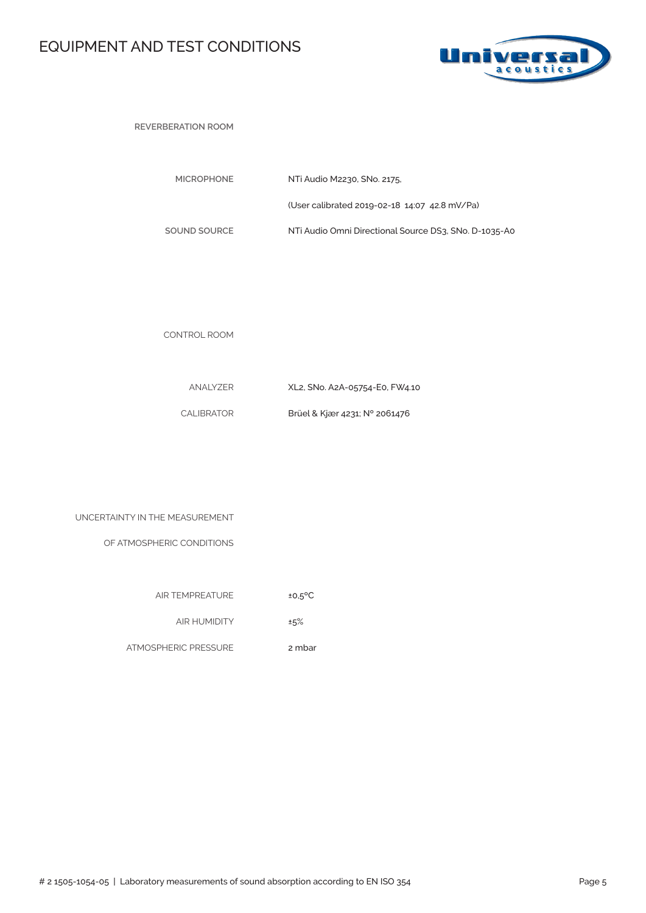## EQUIPMENT AND TEST CONDITIONS



**REVERBERATION ROOM** 

| <b>MICROPHONE</b> | NTi Audio M2230, SNo. 2175.                           |
|-------------------|-------------------------------------------------------|
|                   | (User calibrated 2019-02-18 14:07 42.8 mV/Pa)         |
| SOUND SOURCE      | NTi Audio Omni Directional Source DS3, SNo, D-1035-A0 |

CONTROL ROOM

| ANALYZER   | XL2, SNo. A2A-05754-E0, FW4.10 |
|------------|--------------------------------|
| CALIBRATOR | Brüel & Kjær 4231; N° 2061476  |

| UNCERTAINTY IN THE MEASUREMENT |  |  |  |  |
|--------------------------------|--|--|--|--|
|--------------------------------|--|--|--|--|

OF ATMOSPHERIC CONDITIONS

| <b>AIR TEMPREATURE</b> | $±0.5$ <sup>o</sup> C |
|------------------------|-----------------------|

AIR HUMIDITY ±5%

ATMOSPHERIC PRESSURE 2 mbar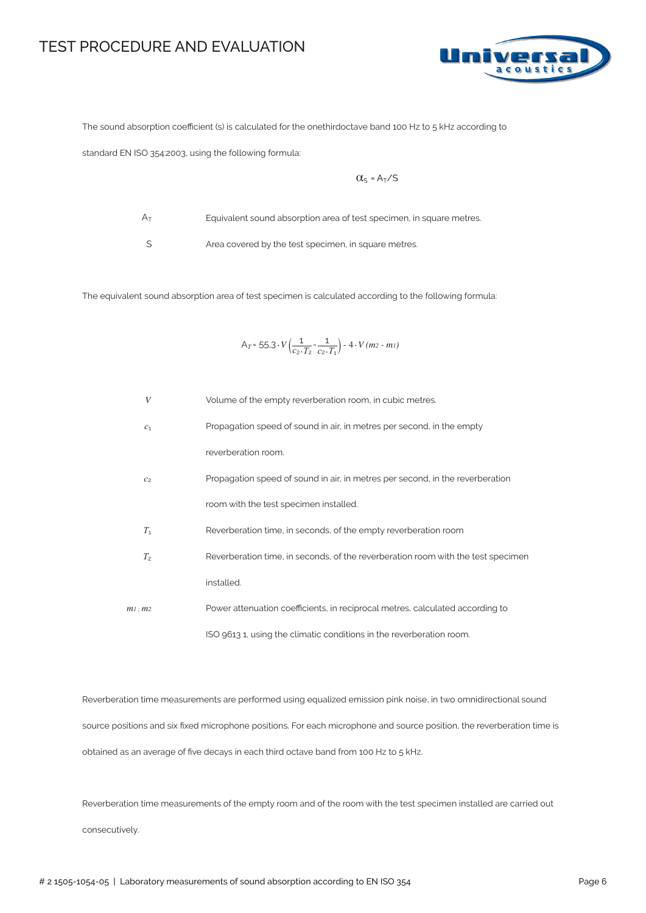#### TEST PROCEDURE AND EVALUATION



The sound absorption coefficient (s) is calculated for the onethirdoctave band 100 Hz to 5 kHz according to

standard EN ISO 354:2003, using the following formula:

$$
\alpha_{s} = A_{T}/s
$$

 $A_T$ 

Equivalent sound absorption area of test specimen, in square metres.

S

Area covered by the test specimen, in square metres.

The equivalent sound absorption area of test specimen is calculated according to the following formula:

$$
A_T = 55.3 \cdot V \left( \frac{1}{c_2 \cdot T_2} - \frac{1}{c_2 \cdot T_1} \right) - 4 \cdot V (m_2 - m_1)
$$

| $\boldsymbol{V}$ | Volume of the empty reverberation room, in cubic metres.                         |
|------------------|----------------------------------------------------------------------------------|
| c <sub>1</sub>   | Propagation speed of sound in air, in metres per second, in the empty            |
|                  | reverberation room.                                                              |
| C <sub>2</sub>   | Propagation speed of sound in air, in metres per second, in the reverberation    |
|                  | room with the test specimen installed.                                           |
| $T_1$            | Reverberation time, in seconds, of the empty reverberation room                  |
| T <sub>2</sub>   | Reverberation time, in seconds, of the reverberation room with the test specimen |
|                  | installed.                                                                       |
| $m1$ : $m2$      | Power attenuation coefficients, in reciprocal metres, calculated according to    |
|                  | ISO 9613 1, using the climatic conditions in the reverberation room.             |

Reverberation time measurements are performed using equalized emission pink noise, in two omnidirectional sound source positions and six fixed microphone positions. For each microphone and source position, the reverberation time is obtained as an average of five decays in each third octave band from 100 Hz to 5 kHz.

Reverberation time measurements of the empty room and of the room with the test specimen installed are carried out consecutively.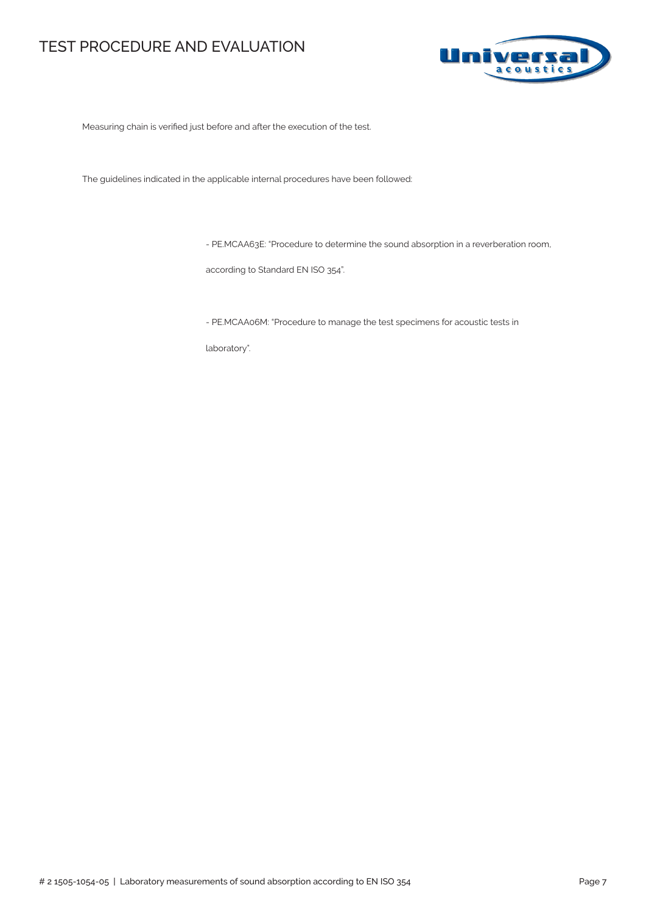#### TEST PROCEDURE AND EVALUATION



Measuring chain is verified just before and after the execution of the test.

The guidelines indicated in the applicable internal procedures have been followed:

- PE.MCAA63E: "Procedure to determine the sound absorption in a reverberation room,

according to Standard EN ISO 354".

- PE.MCAA06M: "Procedure to manage the test specimens for acoustic tests in

laboratory".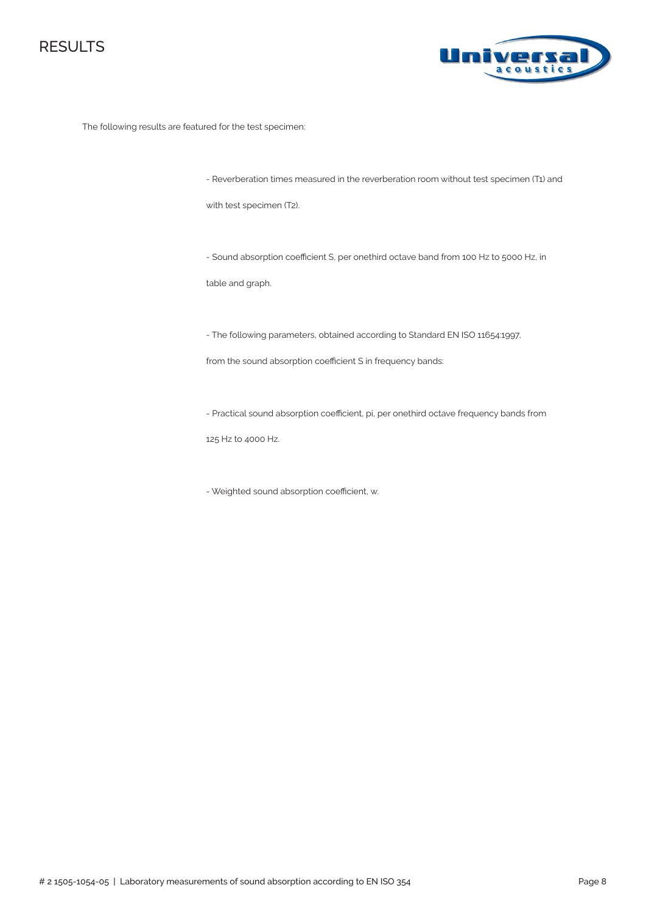



The following results are featured for the test specimen:

- Reverberation times measured in the reverberation room without test specimen (T1) and

with test specimen (T2).

- Sound absorption coefficient S, per onethird octave band from 100 Hz to 5000 Hz, in

table and graph.

- The following parameters, obtained according to Standard EN ISO 11654:1997,

from the sound absorption coefficient S in frequency bands:

- Practical sound absorption coefficient, pi, per onethird octave frequency bands from

125 Hz to 4000 Hz.

- Weighted sound absorption coefficient, αw.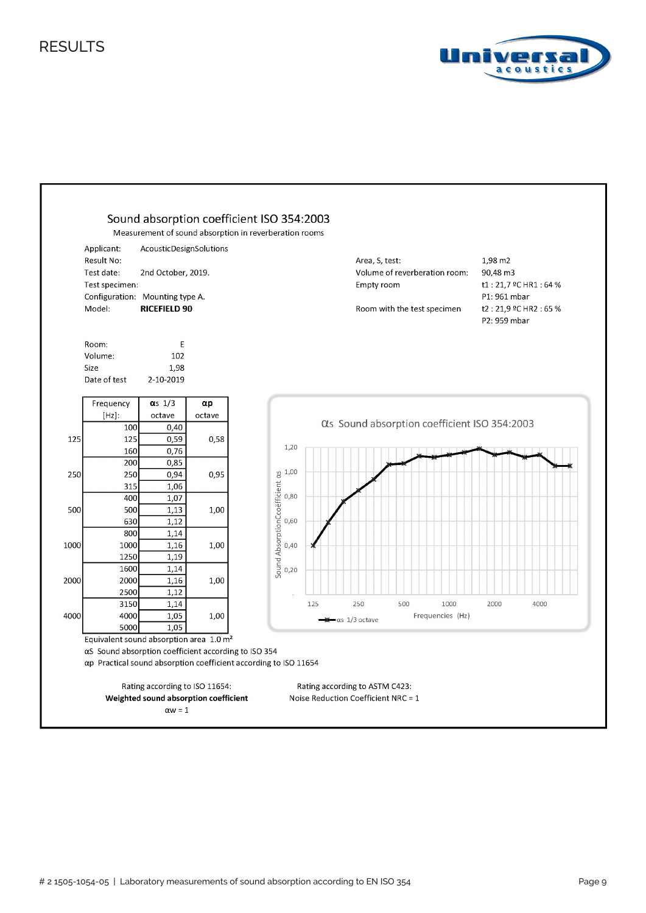